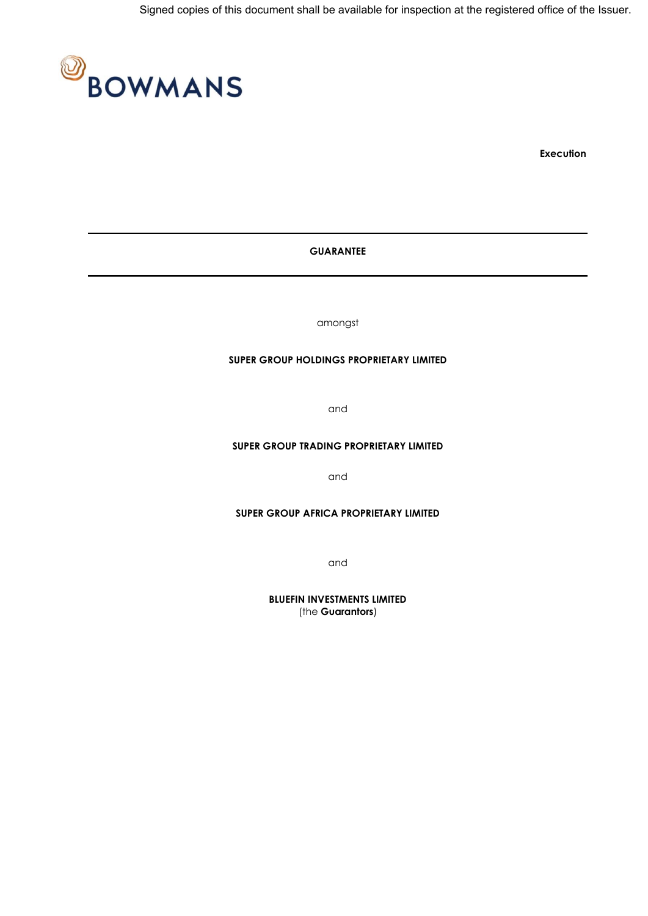

**Execution**

# **GUARANTEE**

amongst

#### **SUPER GROUP HOLDINGS PROPRIETARY LIMITED**

and

## **SUPER GROUP TRADING PROPRIETARY LIMITED**

and

#### **SUPER GROUP AFRICA PROPRIETARY LIMITED**

and

**BLUEFIN INVESTMENTS LIMITED** (the **Guarantors**)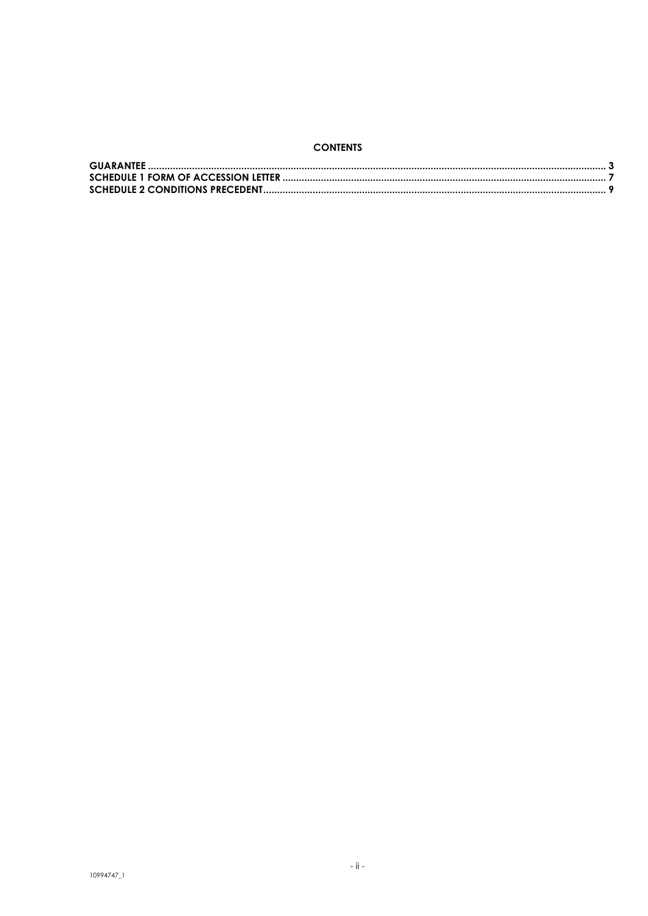# **CONTENTS**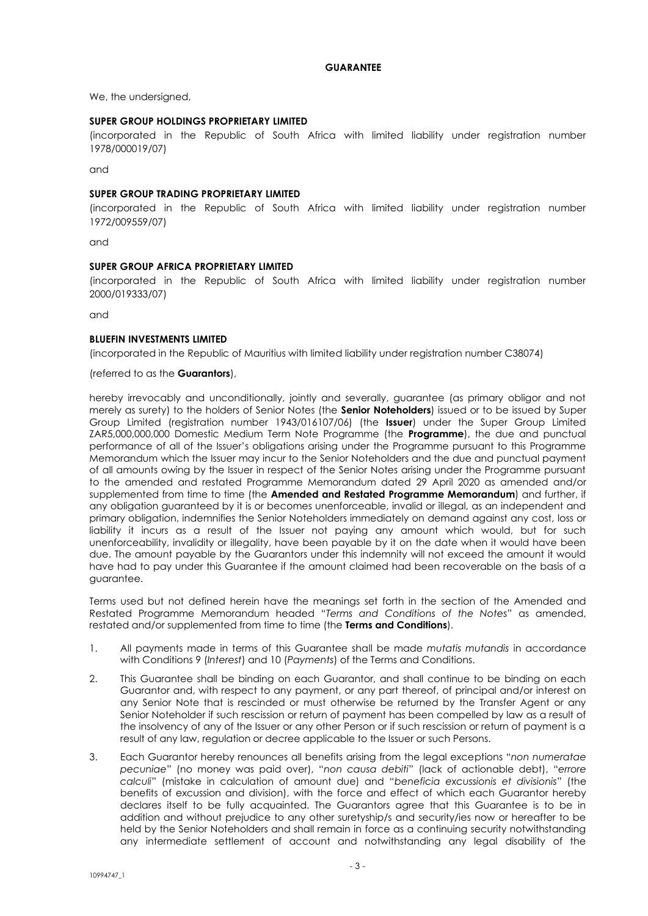## **GUARANTEE**

<span id="page-2-0"></span>We, the undersigned,

### **SUPER GROUP HOLDINGS PROPRIETARY LIMITED**

(incorporated in the Republic of South Africa with limited liability under registration number 1978/000019/07)

and

### **SUPER GROUP TRADING PROPRIETARY LIMITED**

(incorporated in the Republic of South Africa with limited liability under registration number 1972/009559/07)

and

## **SUPER GROUP AFRICA PROPRIETARY LIMITED**

(incorporated in the Republic of South Africa with limited liability under registration number 2000/019333/07)

and

### **BLUEFIN INVESTMENTS LIMITED**

(incorporated in the Republic of Mauritius with limited liability under registration number C38074)

(referred to as the **Guarantors**),

hereby irrevocably and unconditionally, jointly and severally, guarantee (as primary obligor and not merely as surety) to the holders of Senior Notes (the **Senior Noteholders**) issued or to be issued by Super Group Limited (registration number 1943/016107/06) (the **Issuer**) under the Super Group Limited ZAR5,000,000,000 Domestic Medium Term Note Programme (the **Programme**), the due and punctual performance of all of the Issuer's obligations arising under the Programme pursuant to this Programme Memorandum which the Issuer may incur to the Senior Noteholders and the due and punctual payment of all amounts owing by the Issuer in respect of the Senior Notes arising under the Programme pursuant to the amended and restated Programme Memorandum dated 29 April 2020 as amended and/or supplemented from time to time (the **Amended and Restated Programme Memorandum**) and further, if any obligation guaranteed by it is or becomes unenforceable, invalid or illegal, as an independent and primary obligation, indemnifies the Senior Noteholders immediately on demand against any cost, loss or liability it incurs as a result of the Issuer not paying any amount which would, but for such unenforceability, invalidity or illegality, have been payable by it on the date when it would have been due. The amount payable by the Guarantors under this indemnity will not exceed the amount it would have had to pay under this Guarantee if the amount claimed had been recoverable on the basis of a guarantee.

Terms used but not defined herein have the meanings set forth in the section of the Amended and Restated Programme Memorandum headed "*Terms and Conditions of the Notes*" as amended, restated and/or supplemented from time to time (the **Terms and Conditions**).

- 1. All payments made in terms of this Guarantee shall be made *mutatis mutandis* in accordance with Conditions 9 (*Interest*) and 10 (*Payments*) of the Terms and Conditions.
- 2. This Guarantee shall be binding on each Guarantor, and shall continue to be binding on each Guarantor and, with respect to any payment, or any part thereof, of principal and/or interest on any Senior Note that is rescinded or must otherwise be returned by the Transfer Agent or any Senior Noteholder if such rescission or return of payment has been compelled by law as a result of the insolvency of any of the Issuer or any other Person or if such rescission or return of payment is a result of any law, regulation or decree applicable to the Issuer or such Persons.
- 3. Each Guarantor hereby renounces all benefits arising from the legal exceptions "*non numeratae pecuniae*" (no money was paid over), "*non causa debiti*" (lack of actionable debt), "*errore calculi*" (mistake in calculation of amount due) and "*beneficia excussionis et divisionis*" (the benefits of excussion and division), with the force and effect of which each Guarantor hereby declares itself to be fully acquainted. The Guarantors agree that this Guarantee is to be in addition and without prejudice to any other suretyship/s and security/ies now or hereafter to be held by the Senior Noteholders and shall remain in force as a continuing security notwithstanding any intermediate settlement of account and notwithstanding any legal disability of the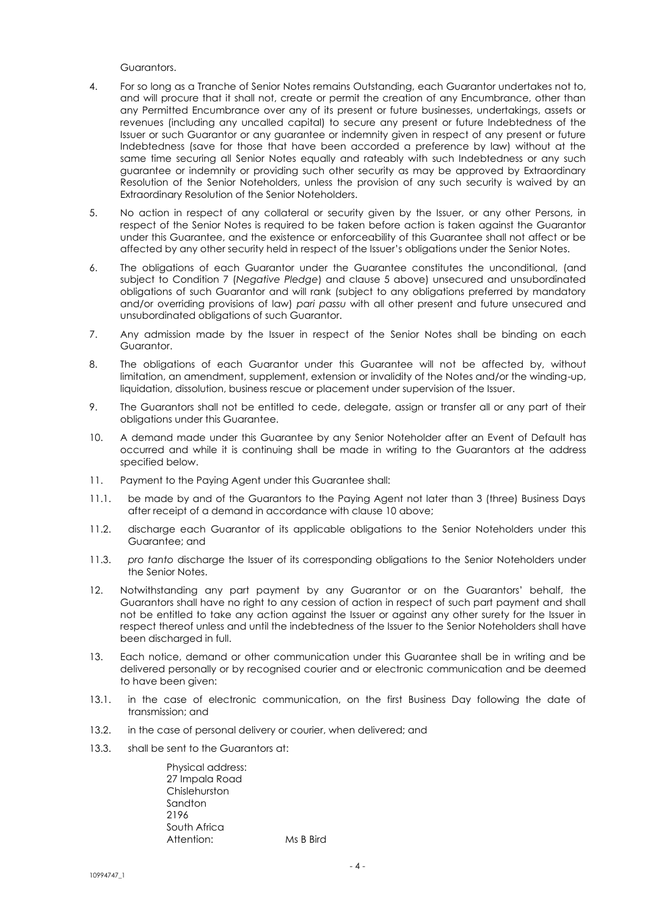Guarantors.

- 4. For so long as a Tranche of Senior Notes remains Outstanding, each Guarantor undertakes not to, and will procure that it shall not, create or permit the creation of any Encumbrance, other than any Permitted Encumbrance over any of its present or future businesses, undertakings, assets or revenues (including any uncalled capital) to secure any present or future Indebtedness of the Issuer or such Guarantor or any guarantee or indemnity given in respect of any present or future Indebtedness (save for those that have been accorded a preference by law) without at the same time securing all Senior Notes equally and rateably with such Indebtedness or any such guarantee or indemnity or providing such other security as may be approved by Extraordinary Resolution of the Senior Noteholders, unless the provision of any such security is waived by an Extraordinary Resolution of the Senior Noteholders.
- 5. No action in respect of any collateral or security given by the Issuer, or any other Persons, in respect of the Senior Notes is required to be taken before action is taken against the Guarantor under this Guarantee, and the existence or enforceability of this Guarantee shall not affect or be affected by any other security held in respect of the Issuer's obligations under the Senior Notes.
- 6. The obligations of each Guarantor under the Guarantee constitutes the unconditional, (and subject to Condition 7 (*Negative Pledge*) and clause 5 above) unsecured and unsubordinated obligations of such Guarantor and will rank (subject to any obligations preferred by mandatory and/or overriding provisions of law) *pari passu* with all other present and future unsecured and unsubordinated obligations of such Guarantor.
- 7. Any admission made by the Issuer in respect of the Senior Notes shall be binding on each Guarantor.
- 8. The obligations of each Guarantor under this Guarantee will not be affected by, without limitation, an amendment, supplement, extension or invalidity of the Notes and/or the winding-up, liquidation, dissolution, business rescue or placement under supervision of the Issuer.
- 9. The Guarantors shall not be entitled to cede, delegate, assign or transfer all or any part of their obligations under this Guarantee.
- 10. A demand made under this Guarantee by any Senior Noteholder after an Event of Default has occurred and while it is continuing shall be made in writing to the Guarantors at the address specified below.
- 11. Payment to the Paying Agent under this Guarantee shall:
- 11.1. be made by and of the Guarantors to the Paying Agent not later than 3 (three) Business Days after receipt of a demand in accordance with clause 10 above;
- 11.2. discharge each Guarantor of its applicable obligations to the Senior Noteholders under this Guarantee; and
- 11.3. *pro tanto* discharge the Issuer of its corresponding obligations to the Senior Noteholders under the Senior Notes.
- 12. Notwithstanding any part payment by any Guarantor or on the Guarantors' behalf, the Guarantors shall have no right to any cession of action in respect of such part payment and shall not be entitled to take any action against the Issuer or against any other surety for the Issuer in respect thereof unless and until the indebtedness of the Issuer to the Senior Noteholders shall have been discharged in full.
- 13. Each notice, demand or other communication under this Guarantee shall be in writing and be delivered personally or by recognised courier and or electronic communication and be deemed to have been given:
- 13.1. in the case of electronic communication, on the first Business Day following the date of transmission; and
- 13.2. in the case of personal delivery or courier, when delivered; and
- 13.3. shall be sent to the Guarantors at:

Physical address: 27 Impala Road Chislehurston Sandton 2196 South Africa Attention: Ms B Bird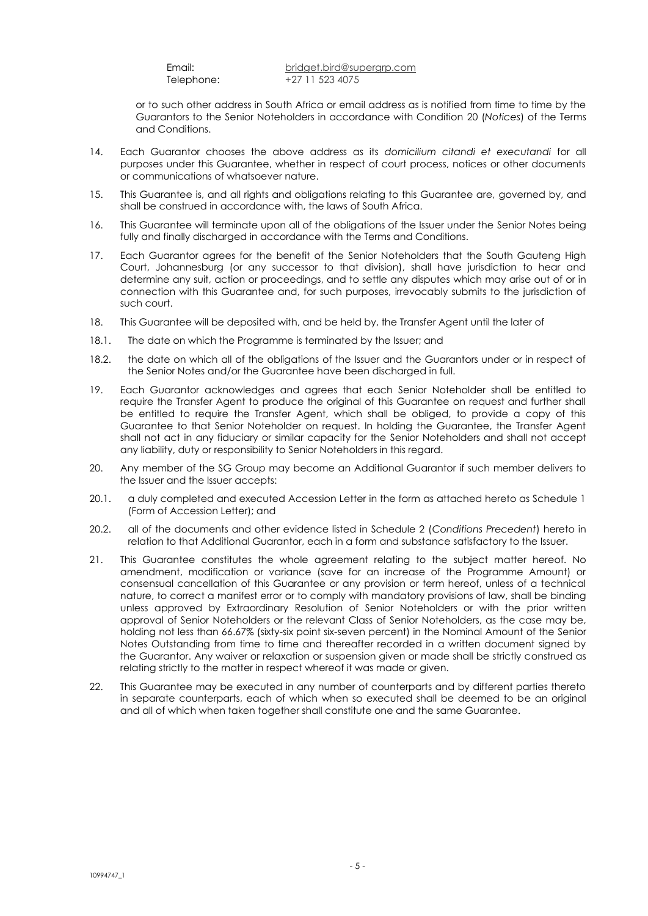Email: [bridget.bird@supergrp.com](mailto:bridget.bird@supergrp.com) Telephone: +27 11 523 4075

or to such other address in South Africa or email address as is notified from time to time by the Guarantors to the Senior Noteholders in accordance with Condition 20 (*Notices*) of the Terms and Conditions.

- 14. Each Guarantor chooses the above address as its *domicilium citandi et executandi* for all purposes under this Guarantee, whether in respect of court process, notices or other documents or communications of whatsoever nature.
- 15. This Guarantee is, and all rights and obligations relating to this Guarantee are, governed by, and shall be construed in accordance with, the laws of South Africa.
- 16. This Guarantee will terminate upon all of the obligations of the Issuer under the Senior Notes being fully and finally discharged in accordance with the Terms and Conditions.
- 17. Each Guarantor agrees for the benefit of the Senior Noteholders that the South Gauteng High Court, Johannesburg (or any successor to that division), shall have jurisdiction to hear and determine any suit, action or proceedings, and to settle any disputes which may arise out of or in connection with this Guarantee and, for such purposes, irrevocably submits to the jurisdiction of such court.
- 18. This Guarantee will be deposited with, and be held by, the Transfer Agent until the later of
- 18.1. The date on which the Programme is terminated by the Issuer; and
- 18.2. the date on which all of the obligations of the Issuer and the Guarantors under or in respect of the Senior Notes and/or the Guarantee have been discharged in full.
- 19. Each Guarantor acknowledges and agrees that each Senior Noteholder shall be entitled to require the Transfer Agent to produce the original of this Guarantee on request and further shall be entitled to require the Transfer Agent, which shall be obliged, to provide a copy of this Guarantee to that Senior Noteholder on request. In holding the Guarantee, the Transfer Agent shall not act in any fiduciary or similar capacity for the Senior Noteholders and shall not accept any liability, duty or responsibility to Senior Noteholders in this regard.
- 20. Any member of the SG Group may become an Additional Guarantor if such member delivers to the Issuer and the Issuer accepts:
- 20.1. a duly completed and executed Accession Letter in the form as attached hereto as Schedule 1 (Form of Accession Letter); and
- 20.2. all of the documents and other evidence listed in Schedule 2 (*Conditions Precedent*) hereto in relation to that Additional Guarantor, each in a form and substance satisfactory to the Issuer.
- 21. This Guarantee constitutes the whole agreement relating to the subject matter hereof. No amendment, modification or variance (save for an increase of the Programme Amount) or consensual cancellation of this Guarantee or any provision or term hereof, unless of a technical nature, to correct a manifest error or to comply with mandatory provisions of law, shall be binding unless approved by Extraordinary Resolution of Senior Noteholders or with the prior written approval of Senior Noteholders or the relevant Class of Senior Noteholders, as the case may be, holding not less than 66.67% (sixty-six point six-seven percent) in the Nominal Amount of the Senior Notes Outstanding from time to time and thereafter recorded in a written document signed by the Guarantor. Any waiver or relaxation or suspension given or made shall be strictly construed as relating strictly to the matter in respect whereof it was made or given.
- 22. This Guarantee may be executed in any number of counterparts and by different parties thereto in separate counterparts, each of which when so executed shall be deemed to be an original and all of which when taken together shall constitute one and the same Guarantee.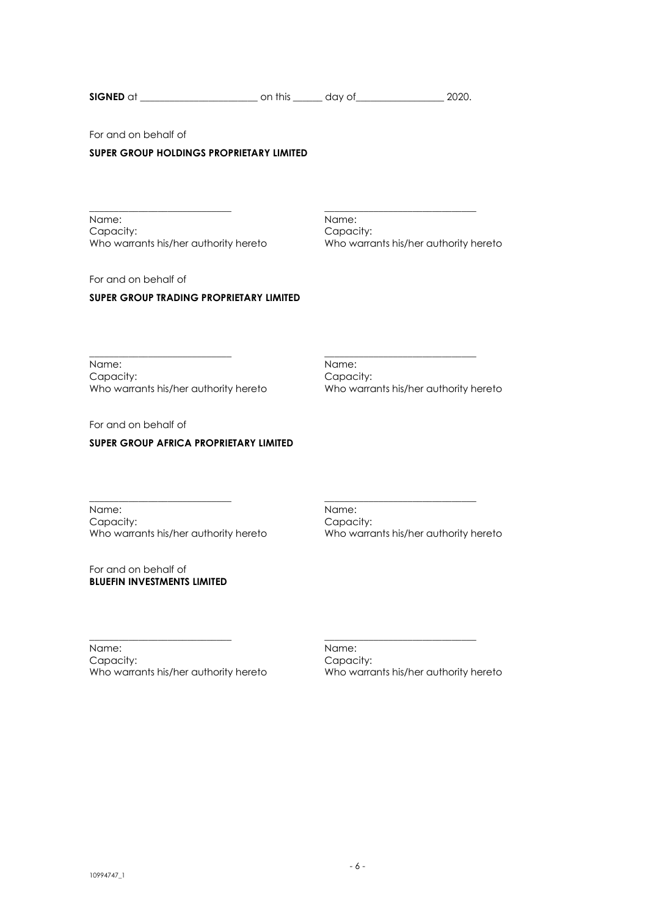| <b>SIGNED</b><br>$\sim$<br>. . | - -- |  |  |
|--------------------------------|------|--|--|
|--------------------------------|------|--|--|

\_\_\_\_\_\_\_\_\_\_\_\_\_\_\_\_\_\_\_\_\_\_\_\_\_\_\_\_\_ \_\_\_\_\_\_\_\_\_\_\_\_\_\_\_\_\_\_\_\_\_\_\_\_\_\_\_\_\_\_\_

For and on behalf of

## **SUPER GROUP HOLDINGS PROPRIETARY LIMITED**

\_\_\_\_\_\_\_\_\_\_\_\_\_\_\_\_\_\_\_\_\_\_\_\_\_\_\_\_\_ \_\_\_\_\_\_\_\_\_\_\_\_\_\_\_\_\_\_\_\_\_\_\_\_\_\_\_\_\_\_\_ Name: Name: Name: Name: Name: Name: Name: Name: Name: Name: Name: Name: Name: Name: Name: Name: Name: Name: Name: Name: Name: Name: Name: Name: Name: Name: Name: Name: Name: Name: Name: Name: Name: Name: Name: Name: Name: Capacity: Capacity:

Who warrants his/her authority hereto Who warrants his/her authority hereto

For and on behalf of

# **SUPER GROUP TRADING PROPRIETARY LIMITED**

\_\_\_\_\_\_\_\_\_\_\_\_\_\_\_\_\_\_\_\_\_\_\_\_\_\_\_\_\_ \_\_\_\_\_\_\_\_\_\_\_\_\_\_\_\_\_\_\_\_\_\_\_\_\_\_\_\_\_\_\_ Name: Name: Name: Name: Name: Name: Name: Name: Name: Name: Name: Name: Name: Name: Name: Name: Name: Name: Name: Name: Name: Name: Name: Name: Name: Name: Name: Name: Name: Name: Name: Name: Name: Name: Name: Name: Name: Who warrants his/her authority hereto

Capacity:<br>Who warrants his/her authority hereto

For and on behalf of

# **SUPER GROUP AFRICA PROPRIETARY LIMITED**

\_\_\_\_\_\_\_\_\_\_\_\_\_\_\_\_\_\_\_\_\_\_\_\_\_\_\_\_\_ \_\_\_\_\_\_\_\_\_\_\_\_\_\_\_\_\_\_\_\_\_\_\_\_\_\_\_\_\_\_\_ Name: Name: Name: Name: Name: Name: Name: Name: Name: Name: Name: Name: Name: Name: Name: Name: Name: Name: Name: Name: Name: Name: Name: Name: Name: Name: Name: Name: Name: Name: Name: Name: Name: Name: Name: Name: Name: Capacity: Capacity: Who warrants his/her authority hereto Who warrants his/her authority hereto

For and on behalf of **BLUEFIN INVESTMENTS LIMITED**

Name: Name: Name: Name: Name: Name: Name: Name: 2014 Who warrants his/her authority hereto

Capacity:<br>Who warrants his/her authority hereto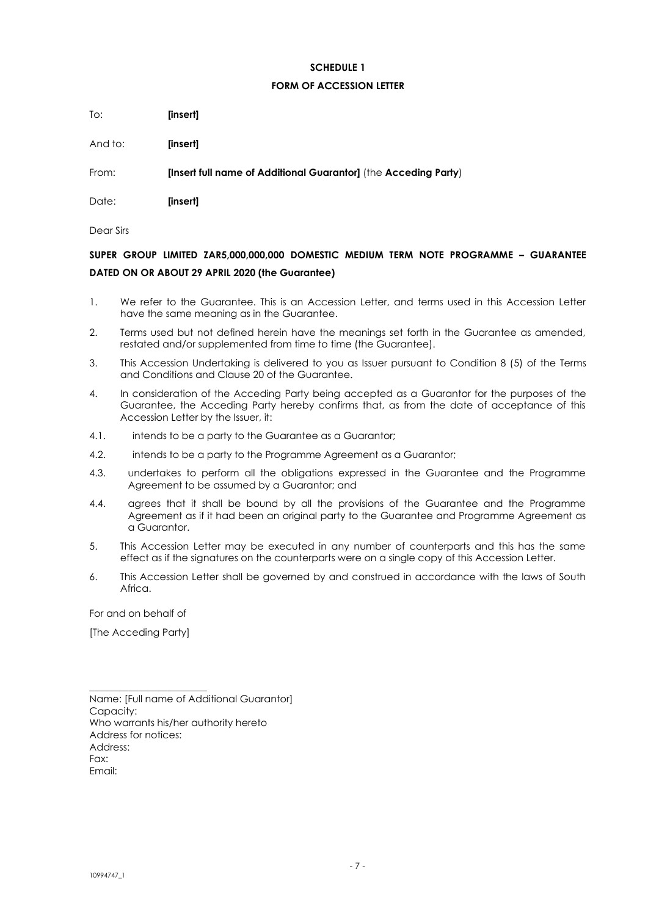## **SCHEDULE 1**

#### **FORM OF ACCESSION LETTER**

<span id="page-6-0"></span>To: **[insert]**

And to: **[insert]**

From: **[Insert full name of Additional Guarantor]** (the **Acceding Party**)

Date: **[insert]**

Dear Sirs

# **SUPER GROUP LIMITED ZAR5,000,000,000 DOMESTIC MEDIUM TERM NOTE PROGRAMME – GUARANTEE DATED ON OR ABOUT 29 APRIL 2020 (the Guarantee)**

- 1. We refer to the Guarantee. This is an Accession Letter, and terms used in this Accession Letter have the same meaning as in the Guarantee.
- 2. Terms used but not defined herein have the meanings set forth in the Guarantee as amended, restated and/or supplemented from time to time (the Guarantee).
- 3. This Accession Undertaking is delivered to you as Issuer pursuant to Condition 8 (5) of the Terms and Conditions and Clause 20 of the Guarantee.
- 4. In consideration of the Acceding Party being accepted as a Guarantor for the purposes of the Guarantee, the Acceding Party hereby confirms that, as from the date of acceptance of this Accession Letter by the Issuer, it:
- 4.1. intends to be a party to the Guarantee as a Guarantor;
- 4.2. intends to be a party to the Programme Agreement as a Guarantor;
- 4.3. undertakes to perform all the obligations expressed in the Guarantee and the Programme Agreement to be assumed by a Guarantor; and
- 4.4. agrees that it shall be bound by all the provisions of the Guarantee and the Programme Agreement as if it had been an original party to the Guarantee and Programme Agreement as a Guarantor.
- 5. This Accession Letter may be executed in any number of counterparts and this has the same effect as if the signatures on the counterparts were on a single copy of this Accession Letter.
- 6. This Accession Letter shall be governed by and construed in accordance with the laws of South Africa.

For and on behalf of

[The Acceding Party]

\_\_\_\_\_\_\_\_\_\_\_\_\_\_\_\_\_\_\_\_\_\_\_\_

Name: [Full name of Additional Guarantor] Capacity: Who warrants his/her authority hereto Address for notices: Address: Fax: Email: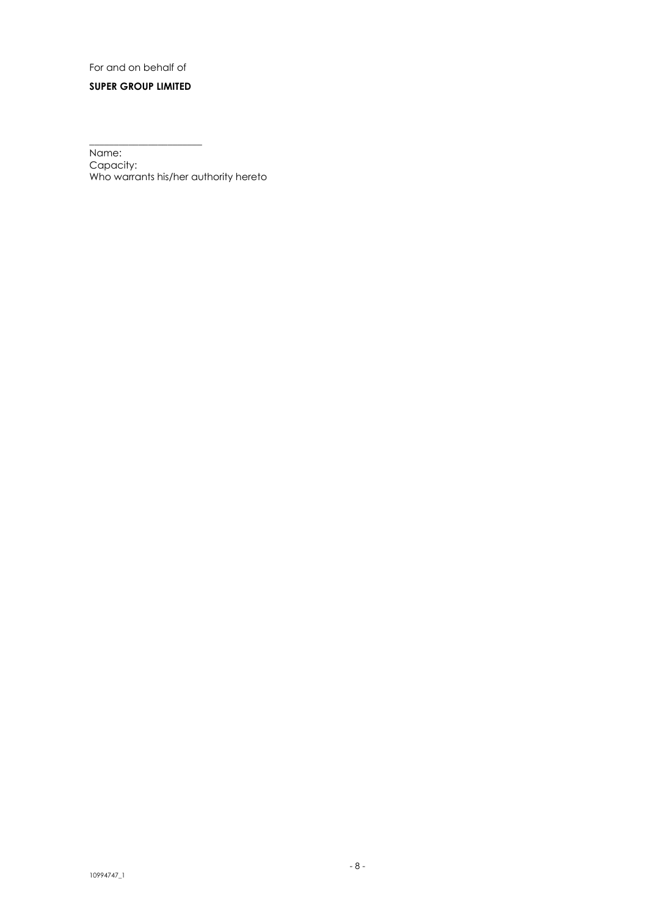# For and on behalf of

# **SUPER GROUP LIMITED**

\_\_\_\_\_\_\_\_\_\_\_\_\_\_\_\_\_\_\_\_\_\_\_

Name: Capacity: Who warrants his/her authority hereto